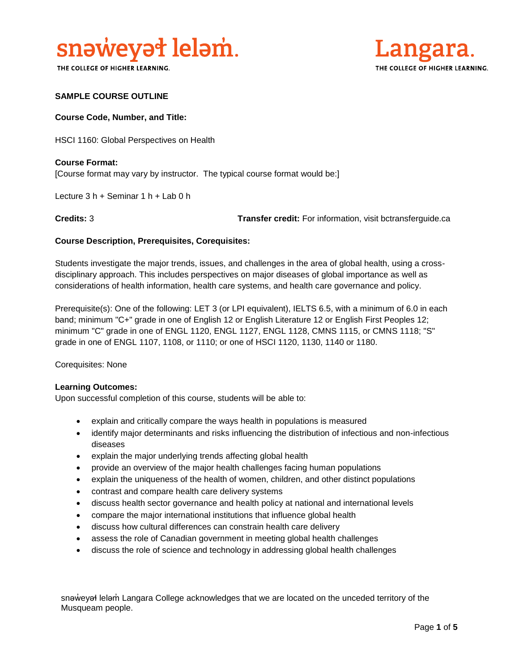

THE COLLEGE OF HIGHER LEARNING.



### **SAMPLE COURSE OUTLINE**

#### **Course Code, Number, and Title:**

HSCI 1160: Global Perspectives on Health

**Course Format:** [Course format may vary by instructor. The typical course format would be:]

Lecture 3 h + Seminar 1 h + Lab 0 h

**Credits:** 3 **Transfer credit:** For information, visit bctransferguide.ca

#### **Course Description, Prerequisites, Corequisites:**

Students investigate the major trends, issues, and challenges in the area of global health, using a crossdisciplinary approach. This includes perspectives on major diseases of global importance as well as considerations of health information, health care systems, and health care governance and policy.

Prerequisite(s): One of the following: LET 3 (or LPI equivalent), IELTS 6.5, with a minimum of 6.0 in each band; minimum "C+" grade in one of English 12 or English Literature 12 or English First Peoples 12; minimum "C" grade in one of ENGL 1120, ENGL 1127, ENGL 1128, CMNS 1115, or CMNS 1118; "S" grade in one of ENGL 1107, 1108, or 1110; or one of HSCI 1120, 1130, 1140 or 1180.

Corequisites: None

#### **Learning Outcomes:**

Upon successful completion of this course, students will be able to:

- explain and critically compare the ways health in populations is measured
- identify major determinants and risks influencing the distribution of infectious and non-infectious diseases
- explain the major underlying trends affecting global health
- provide an overview of the major health challenges facing human populations
- explain the uniqueness of the health of women, children, and other distinct populations
- contrast and compare health care delivery systems
- discuss health sector governance and health policy at national and international levels
- compare the major international institutions that influence global health
- discuss how cultural differences can constrain health care delivery
- assess the role of Canadian government in meeting global health challenges
- discuss the role of science and technology in addressing global health challenges

snəweyał leləm Langara College acknowledges that we are located on the unceded territory of the Musqueam people.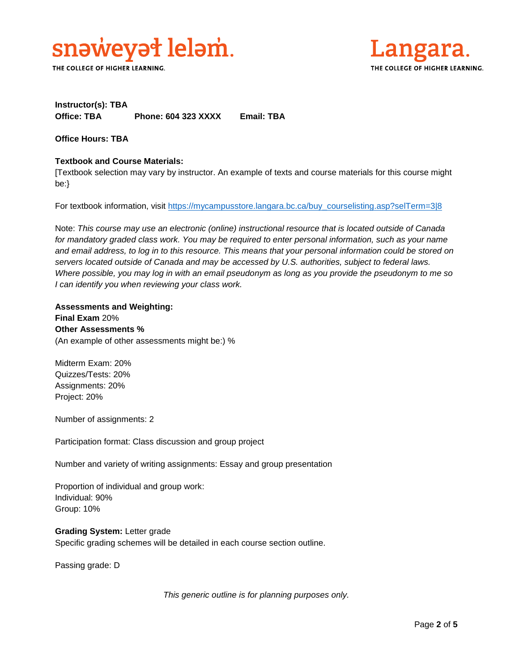

THE COLLEGE OF HIGHER LEARNING.



## **Instructor(s): TBA Office: TBA Phone: 604 323 XXXX Email: TBA**

**Office Hours: TBA** 

## **Textbook and Course Materials:**

[Textbook selection may vary by instructor. An example of texts and course materials for this course might be:}

For textbook information, visit [https://mycampusstore.langara.bc.ca/buy\\_courselisting.asp?selTerm=3|8](https://mycampusstore.langara.bc.ca/buy_courselisting.asp?selTerm=3|8)

Note: *This course may use an electronic (online) instructional resource that is located outside of Canada*  for mandatory graded class work. You may be required to enter personal information, such as your name *and email address, to log in to this resource. This means that your personal information could be stored on servers located outside of Canada and may be accessed by U.S. authorities, subject to federal laws. Where possible, you may log in with an email pseudonym as long as you provide the pseudonym to me so I can identify you when reviewing your class work.* 

## **Assessments and Weighting:**

**Final Exam** 20% **Other Assessments %** (An example of other assessments might be:) %

Midterm Exam: 20% Quizzes/Tests: 20% Assignments: 20% Project: 20%

Number of assignments: 2

Participation format: Class discussion and group project

Number and variety of writing assignments: Essay and group presentation

Proportion of individual and group work: Individual: 90% Group: 10%

**Grading System:** Letter grade Specific grading schemes will be detailed in each course section outline.

Passing grade: D

*This generic outline is for planning purposes only.*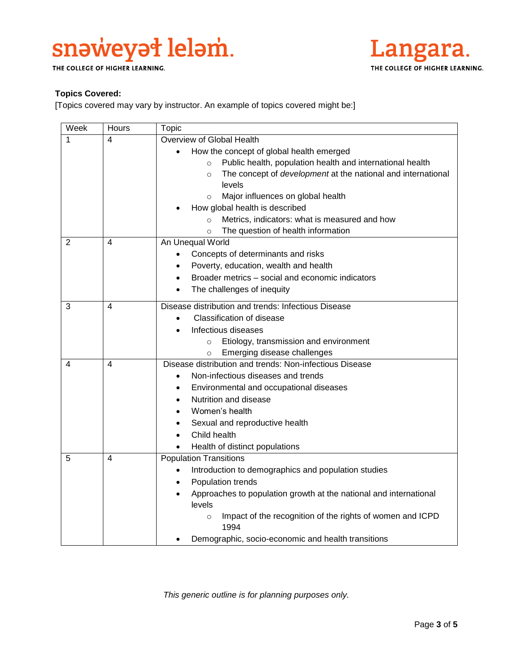## snaweyał lelam.

THE COLLEGE OF HIGHER LEARNING.



## **Topics Covered:**

[Topics covered may vary by instructor. An example of topics covered might be:]

| Week           | Hours | Topic                                                                          |
|----------------|-------|--------------------------------------------------------------------------------|
| 1              | 4     | Overview of Global Health                                                      |
|                |       | How the concept of global health emerged                                       |
|                |       | Public health, population health and international health<br>$\circ$           |
|                |       | The concept of development at the national and international<br>$\Omega$       |
|                |       | levels                                                                         |
|                |       | Major influences on global health<br>$\Omega$                                  |
|                |       | How global health is described                                                 |
|                |       | Metrics, indicators: what is measured and how<br>$\circ$                       |
|                |       | The question of health information<br>$\circ$                                  |
| $\overline{2}$ | 4     | An Unequal World                                                               |
|                |       | Concepts of determinants and risks                                             |
|                |       | Poverty, education, wealth and health                                          |
|                |       | Broader metrics - social and economic indicators                               |
|                |       | The challenges of inequity<br>$\bullet$                                        |
| 3              | 4     | Disease distribution and trends: Infectious Disease                            |
|                |       | <b>Classification of disease</b><br>$\bullet$                                  |
|                |       | Infectious diseases                                                            |
|                |       | Etiology, transmission and environment<br>$\circ$                              |
|                |       | Emerging disease challenges<br>$\circ$                                         |
| 4              | 4     | Disease distribution and trends: Non-infectious Disease                        |
|                |       | Non-infectious diseases and trends                                             |
|                |       | Environmental and occupational diseases                                        |
|                |       | Nutrition and disease                                                          |
|                |       | Women's health                                                                 |
|                |       | Sexual and reproductive health                                                 |
|                |       | Child health                                                                   |
|                |       | Health of distinct populations                                                 |
| 5              | 4     | <b>Population Transitions</b>                                                  |
|                |       | Introduction to demographics and population studies<br>$\bullet$               |
|                |       | Population trends<br>$\bullet$                                                 |
|                |       | Approaches to population growth at the national and international<br>$\bullet$ |
|                |       | levels                                                                         |
|                |       | Impact of the recognition of the rights of women and ICPD<br>$\circ$<br>1994   |
|                |       | Demographic, socio-economic and health transitions                             |

*This generic outline is for planning purposes only.*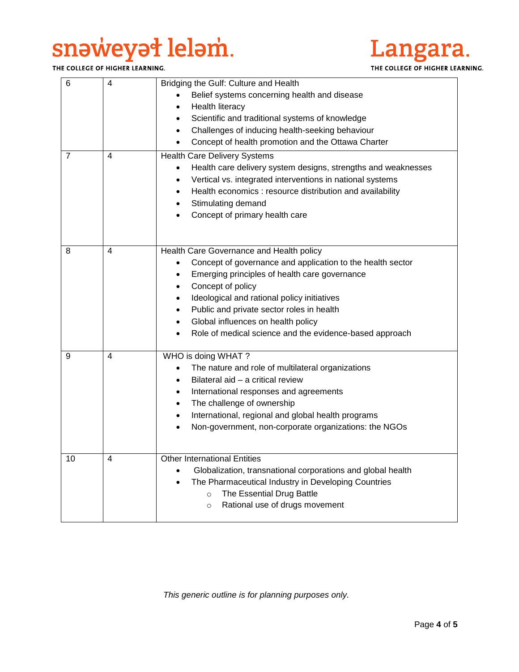# snaweyał lelam.

THE COLLEGE OF HIGHER LEARNING.



| 6              | 4              | Bridging the Gulf: Culture and Health<br>Belief systems concerning health and disease<br><b>Health literacy</b><br>Scientific and traditional systems of knowledge<br>Challenges of inducing health-seeking behaviour<br>$\bullet$<br>Concept of health promotion and the Ottawa Charter<br>$\bullet$                                                                                                                         |
|----------------|----------------|-------------------------------------------------------------------------------------------------------------------------------------------------------------------------------------------------------------------------------------------------------------------------------------------------------------------------------------------------------------------------------------------------------------------------------|
| $\overline{7}$ | 4              | <b>Health Care Delivery Systems</b><br>Health care delivery system designs, strengths and weaknesses<br>$\bullet$<br>Vertical vs. integrated interventions in national systems<br>Health economics : resource distribution and availability<br>Stimulating demand<br>Concept of primary health care                                                                                                                           |
| 8              | $\overline{4}$ | Health Care Governance and Health policy<br>Concept of governance and application to the health sector<br>Emerging principles of health care governance<br>$\bullet$<br>Concept of policy<br>$\bullet$<br>Ideological and rational policy initiatives<br>$\bullet$<br>Public and private sector roles in health<br>$\bullet$<br>Global influences on health policy<br>Role of medical science and the evidence-based approach |
| 9              | 4              | WHO is doing WHAT?<br>The nature and role of multilateral organizations<br>$\bullet$<br>Bilateral aid - a critical review<br>International responses and agreements<br>$\bullet$<br>The challenge of ownership<br>$\bullet$<br>International, regional and global health programs<br>$\bullet$<br>Non-government, non-corporate organizations: the NGOs<br>$\bullet$                                                          |
| 10             | 4              | <b>Other International Entities</b><br>Globalization, transnational corporations and global health<br>The Pharmaceutical Industry in Developing Countries<br>The Essential Drug Battle<br>$\circ$<br>Rational use of drugs movement<br>$\circ$                                                                                                                                                                                |

*This generic outline is for planning purposes only.*